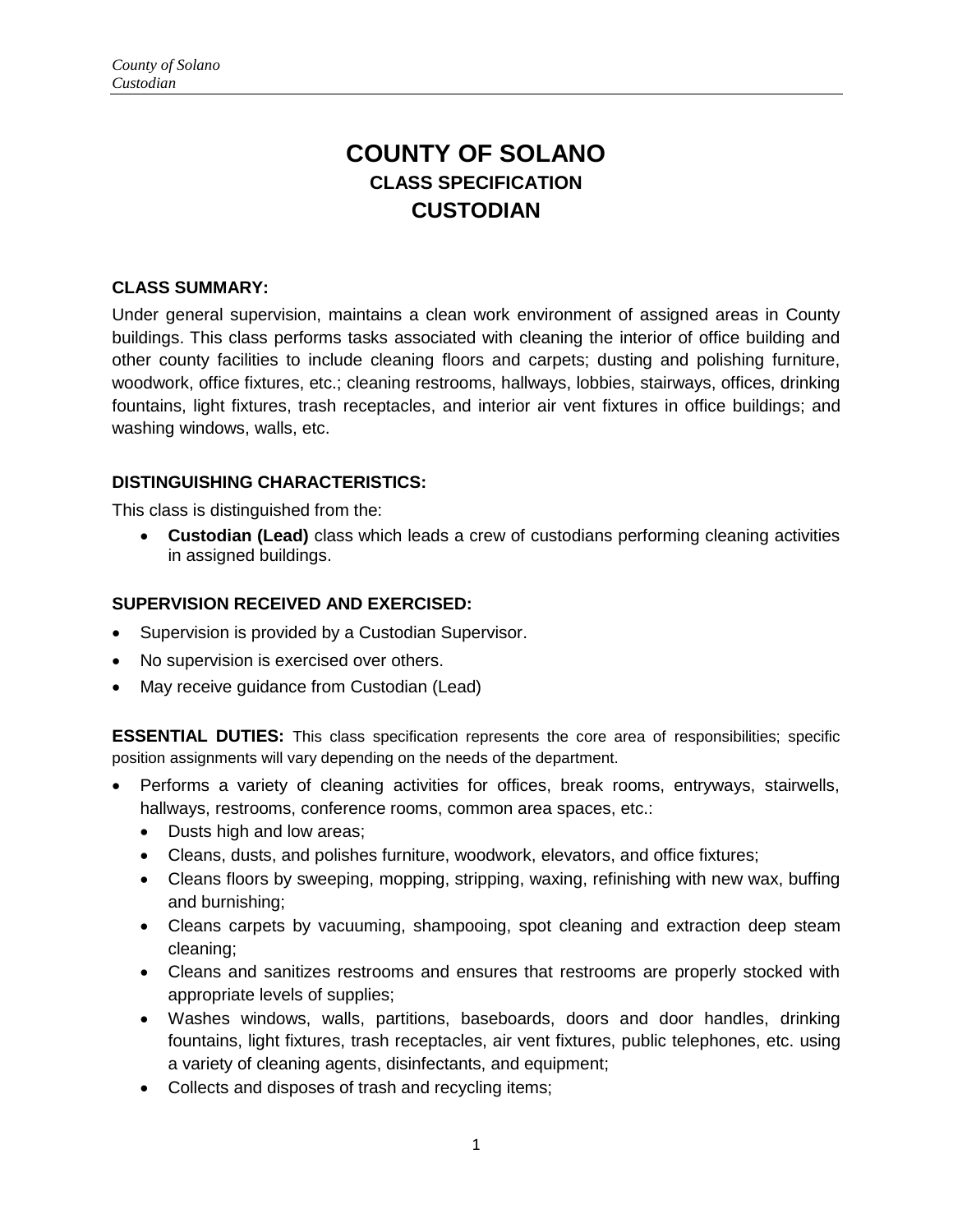# **COUNTY OF SOLANO CLASS SPECIFICATION CUSTODIAN**

### **CLASS SUMMARY:**

Under general supervision, maintains a clean work environment of assigned areas in County buildings. This class performs tasks associated with cleaning the interior of office building and other county facilities to include cleaning floors and carpets; dusting and polishing furniture, woodwork, office fixtures, etc.; cleaning restrooms, hallways, lobbies, stairways, offices, drinking fountains, light fixtures, trash receptacles, and interior air vent fixtures in office buildings; and washing windows, walls, etc.

## **DISTINGUISHING CHARACTERISTICS:**

This class is distinguished from the:

 **Custodian (Lead)** class which leads a crew of custodians performing cleaning activities in assigned buildings.

#### **SUPERVISION RECEIVED AND EXERCISED:**

- Supervision is provided by a Custodian Supervisor.
- No supervision is exercised over others.
- May receive guidance from Custodian (Lead)

**ESSENTIAL DUTIES:** This class specification represents the core area of responsibilities; specific position assignments will vary depending on the needs of the department.

- Performs a variety of cleaning activities for offices, break rooms, entryways, stairwells, hallways, restrooms, conference rooms, common area spaces, etc.:
	- Dusts high and low areas;
	- Cleans, dusts, and polishes furniture, woodwork, elevators, and office fixtures;
	- Cleans floors by sweeping, mopping, stripping, waxing, refinishing with new wax, buffing and burnishing;
	- Cleans carpets by vacuuming, shampooing, spot cleaning and extraction deep steam cleaning;
	- Cleans and sanitizes restrooms and ensures that restrooms are properly stocked with appropriate levels of supplies;
	- Washes windows, walls, partitions, baseboards, doors and door handles, drinking fountains, light fixtures, trash receptacles, air vent fixtures, public telephones, etc. using a variety of cleaning agents, disinfectants, and equipment;
	- Collects and disposes of trash and recycling items;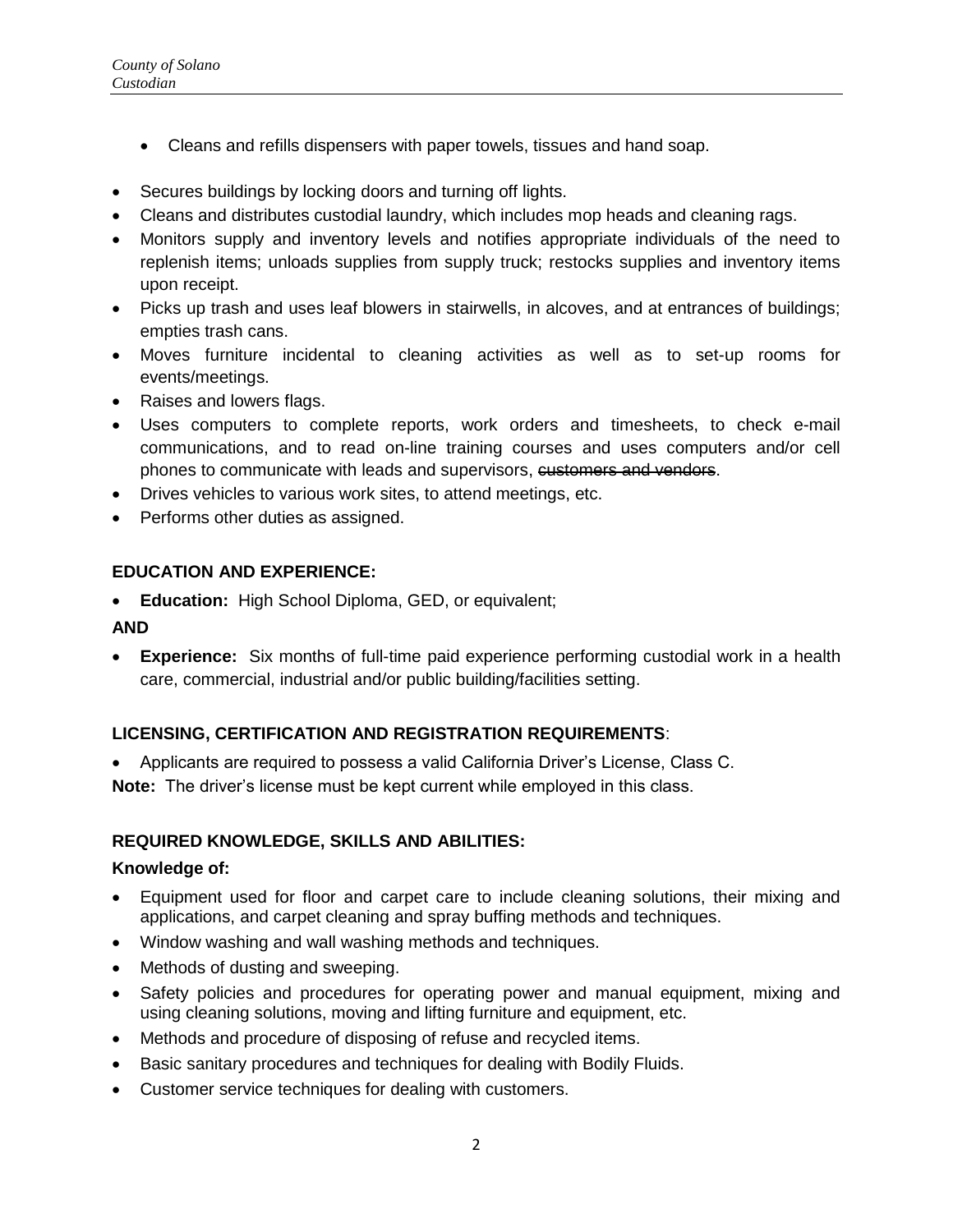- Cleans and refills dispensers with paper towels, tissues and hand soap.
- Secures buildings by locking doors and turning off lights.
- Cleans and distributes custodial laundry, which includes mop heads and cleaning rags.
- Monitors supply and inventory levels and notifies appropriate individuals of the need to replenish items; unloads supplies from supply truck; restocks supplies and inventory items upon receipt.
- Picks up trash and uses leaf blowers in stairwells, in alcoves, and at entrances of buildings; empties trash cans.
- Moves furniture incidental to cleaning activities as well as to set-up rooms for events/meetings.
- Raises and lowers flags.
- Uses computers to complete reports, work orders and timesheets, to check e-mail communications, and to read on-line training courses and uses computers and/or cell phones to communicate with leads and supervisors, customers and vendors.
- Drives vehicles to various work sites, to attend meetings, etc.
- Performs other duties as assigned.

## **EDUCATION AND EXPERIENCE:**

**Education:** High School Diploma, GED, or equivalent;

#### **AND**

 **Experience:** Six months of full-time paid experience performing custodial work in a health care, commercial, industrial and/or public building/facilities setting.

# **LICENSING, CERTIFICATION AND REGISTRATION REQUIREMENTS**:

Applicants are required to possess a valid California Driver's License, Class C.

**Note:** The driver's license must be kept current while employed in this class.

#### **REQUIRED KNOWLEDGE, SKILLS AND ABILITIES:**

#### **Knowledge of:**

- Equipment used for floor and carpet care to include cleaning solutions, their mixing and applications, and carpet cleaning and spray buffing methods and techniques.
- Window washing and wall washing methods and techniques.
- Methods of dusting and sweeping.
- Safety policies and procedures for operating power and manual equipment, mixing and using cleaning solutions, moving and lifting furniture and equipment, etc.
- Methods and procedure of disposing of refuse and recycled items.
- Basic sanitary procedures and techniques for dealing with Bodily Fluids.
- Customer service techniques for dealing with customers.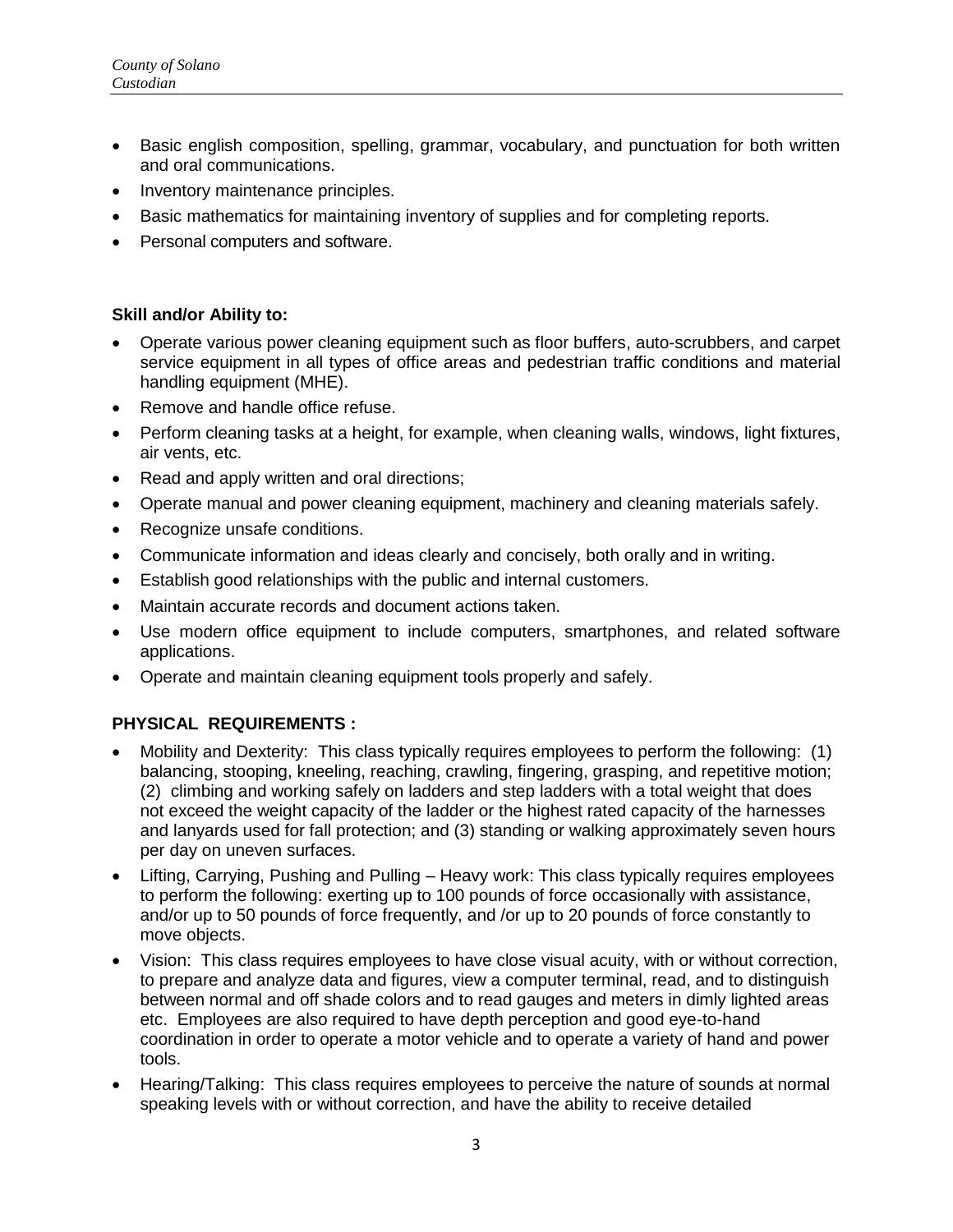- Basic english composition, spelling, grammar, vocabulary, and punctuation for both written and oral communications.
- Inventory maintenance principles.
- Basic mathematics for maintaining inventory of supplies and for completing reports.
- Personal computers and software.

### **Skill and/or Ability to:**

- Operate various power cleaning equipment such as floor buffers, auto-scrubbers, and carpet service equipment in all types of office areas and pedestrian traffic conditions and material handling equipment (MHE).
- Remove and handle office refuse.
- Perform cleaning tasks at a height, for example, when cleaning walls, windows, light fixtures, air vents, etc.
- Read and apply written and oral directions;
- Operate manual and power cleaning equipment, machinery and cleaning materials safely.
- Recognize unsafe conditions.
- Communicate information and ideas clearly and concisely, both orally and in writing.
- Establish good relationships with the public and internal customers.
- Maintain accurate records and document actions taken.
- Use modern office equipment to include computers, smartphones, and related software applications.
- Operate and maintain cleaning equipment tools properly and safely.

# **PHYSICAL REQUIREMENTS :**

- Mobility and Dexterity: This class typically requires employees to perform the following: (1) balancing, stooping, kneeling, reaching, crawling, fingering, grasping, and repetitive motion; (2) climbing and working safely on ladders and step ladders with a total weight that does not exceed the weight capacity of the ladder or the highest rated capacity of the harnesses and lanyards used for fall protection; and (3) standing or walking approximately seven hours per day on uneven surfaces.
- Lifting, Carrying, Pushing and Pulling Heavy work: This class typically requires employees to perform the following: exerting up to 100 pounds of force occasionally with assistance, and/or up to 50 pounds of force frequently, and /or up to 20 pounds of force constantly to move objects.
- Vision: This class requires employees to have close visual acuity, with or without correction, to prepare and analyze data and figures, view a computer terminal, read, and to distinguish between normal and off shade colors and to read gauges and meters in dimly lighted areas etc. Employees are also required to have depth perception and good eye-to-hand coordination in order to operate a motor vehicle and to operate a variety of hand and power tools.
- Hearing/Talking: This class requires employees to perceive the nature of sounds at normal speaking levels with or without correction, and have the ability to receive detailed